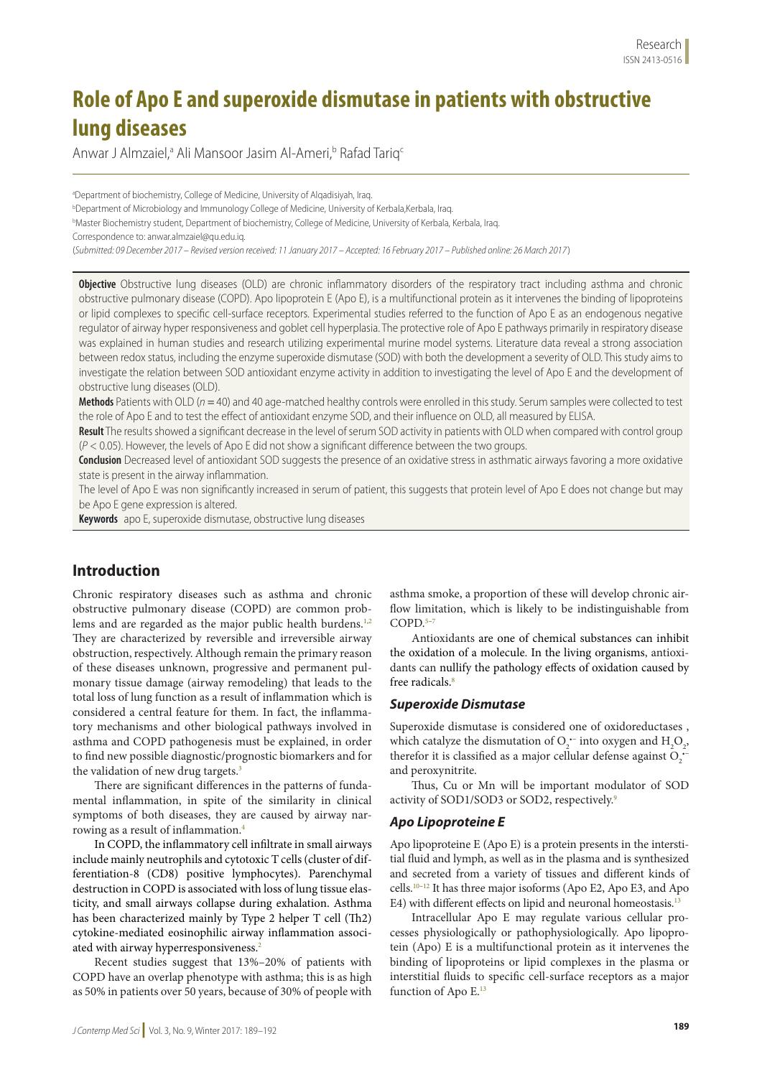# **Role of Apo E and superoxide dismutase in patients with obstructive lung diseases**

Anwar J Almzaiel,<sup>a</sup> Ali Mansoor Jasim Al-Ameri,<sup>b</sup> Rafad Tariq<sup>c</sup>

a Department of biochemistry, College of Medicine, University of Alqadisiyah, Iraq.

b Department of Microbiology and Immunology College of Medicine, University of Kerbala,Kerbala, Iraq.

b Master Biochemistry student, Department of biochemistry, College of Medicine, University of Kerbala, Kerbala, Iraq.

Correspondence to: anwar.almzaiel@qu.edu.iq.

(*Submitted: 09 December 2017 – Revised version received: 11 January 2017 – Accepted: 16 February 2017 – Published online: 26 March 2017*)

**Objective** Obstructive lung diseases (OLD) are chronic inflammatory disorders of the respiratory tract including asthma and chronic obstructive pulmonary disease (COPD). Apo lipoprotein E (Apo E), is a multifunctional protein as it intervenes the binding of lipoproteins or lipid complexes to specific cell-surface receptors. Experimental studies referred to the function of Apo E as an endogenous negative regulator of airway hyper responsiveness and goblet cell hyperplasia. The protective role of Apo E pathways primarily in respiratory disease was explained in human studies and research utilizing experimental murine model systems. Literature data reveal a strong association between redox status, including the enzyme superoxide dismutase (SOD) with both the development a severity of OLD. This study aims to investigate the relation between SOD antioxidant enzyme activity in addition to investigating the level of Apo E and the development of obstructive lung diseases (OLD).

**Methods** Patients with OLD (*n =* 40) and 40 age-matched healthy controls were enrolled in this study. Serum samples were collected to test the role of Apo E and to test the effect of antioxidant enzyme SOD, and their influence on OLD, all measured by ELISA.

**Result** The results showed a significant decrease in the level of serum SOD activity in patients with OLD when compared with control group (*P* < 0.05). However, the levels of Apo E did not show a significant difference between the two groups.

**Conclusion** Decreased level of antioxidant SOD suggests the presence of an oxidative stress in asthmatic airways favoring a more oxidative state is present in the airway inflammation.

The level of Apo E was non significantly increased in serum of patient, this suggests that protein level of Apo E does not change but may be Apo E gene expression is altered.

**Keywords** apo E, superoxide dismutase, obstructive lung diseases

## **Introduction**

Chronic respiratory diseases such as asthma and chronic obstructive pulmonary disease (COPD) are common problems and are regarded as the major public health burdens.<sup>1,2</sup> They are characterized by reversible and irreversible airway obstruction, respectively. Although remain the primary reason of these diseases unknown, progressive and permanent pulmonary tissue damage (airway remodeling) that leads to the total loss of lung function as a result of inflammation which is considered a central feature for them. In fact, the inflammatory mechanisms and other biological pathways involved in asthma and COPD pathogenesis must be explained, in order to find new possible diagnostic/prognostic biomarkers and for the validation of new drug targets.<sup>3</sup>

There are significant differences in the patterns of fundamental inflammation, in spite of the similarity in clinical symptoms of both diseases, they are caused by airway narrowing as a result of inflammation.4

In COPD, the inflammatory cell infiltrate in small airways include mainly neutrophils and cytotoxic T cells (cluster of differentiation-8 (CD8) positive lymphocytes). Parenchymal destruction in COPD is associated with loss of lung tissue elasticity, and small airways collapse during exhalation. Asthma has been characterized mainly by Type 2 helper T cell (Th2) cytokine-mediated eosinophilic airway inflammation associated with airway hyperresponsiveness.<sup>2</sup>

Recent studies suggest that 13%–20% of patients with COPD have an overlap phenotype with asthma; this is as high as 50% in patients over 50 years, because of 30% of people with

asthma smoke, a proportion of these will develop chronic airflow limitation, which is likely to be indistinguishable from  $COPD$ <sup>5–7</sup>

Antioxidants are one of chemical substances can inhibit the oxidation of a molecule. In the living organisms, antioxidants can nullify the pathology effects of oxidation caused by free radicals. $8$ 

## *Superoxide Dismutase*

Superoxide dismutase is considered one of oxidoreductases , which catalyze the dismutation of  $O_2$ <sup>--</sup> into oxygen and  $H_2O_2$ , therefor it is classified as a major cellular defense against  $O_2$ <sup>+</sup> and peroxynitrite.

Thus, Cu or Mn will be important modulator of SOD activity of SOD1/SOD3 or SOD2, respectively.<sup>9</sup>

## *Apo Lipoproteine E*

Apo lipoproteine E (Apo E) is a protein presents in the interstitial fluid and lymph, as well as in the plasma and is synthesized and secreted from a variety of tissues and different kinds of cells.10–12 It has three major isoforms (Apo E2, Apo E3, and Apo E4) with different effects on lipid and neuronal homeostasis.<sup>13</sup>

Intracellular Apo E may regulate various cellular processes physiologically or pathophysiologically. Apo lipoprotein (Apo) E is a multifunctional protein as it intervenes the binding of lipoproteins or lipid complexes in the plasma or interstitial fluids to specific cell-surface receptors as a major function of Apo E.<sup>13</sup>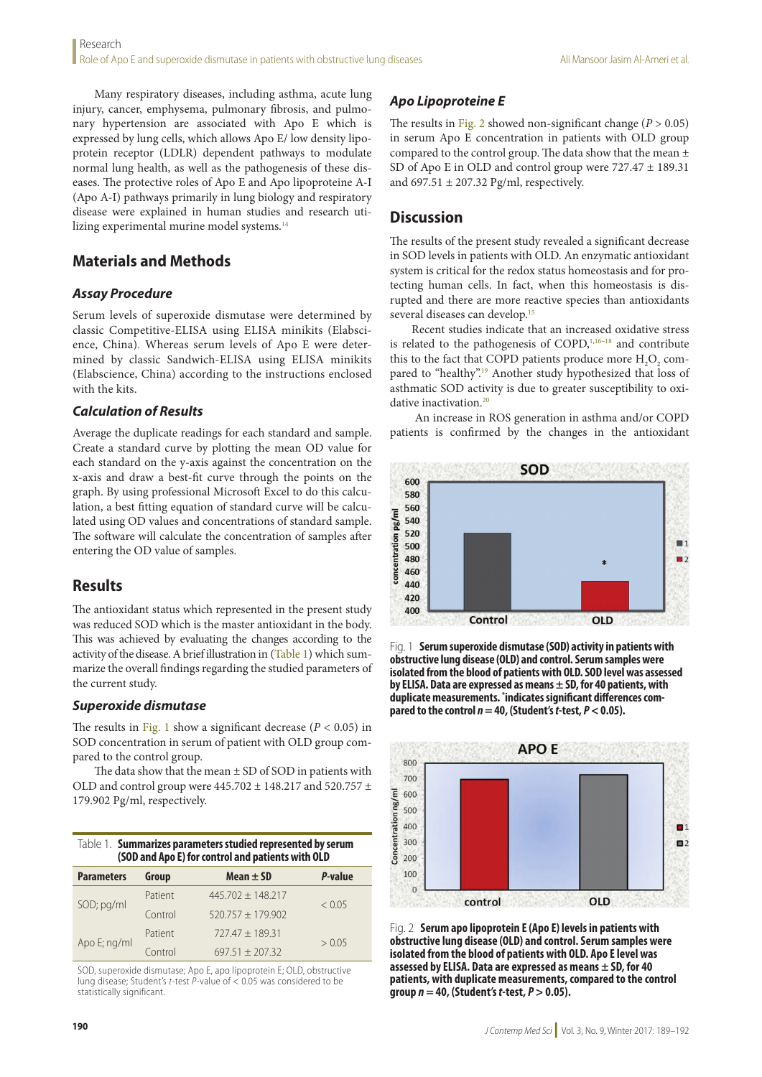Many respiratory diseases, including asthma, acute lung injury, cancer, emphysema, pulmonary fibrosis, and pulmonary hypertension are associated with Apo E which is expressed by lung cells, which allows Apo E/ low density lipoprotein receptor (LDLR) dependent pathways to modulate normal lung health, as well as the pathogenesis of these diseases. The protective roles of Apo E and Apo lipoproteine A-I (Apo A-I) pathways primarily in lung biology and respiratory disease were explained in human studies and research utilizing experimental murine model systems.<sup>14</sup>

## **Materials and Methods**

## *Assay Procedure*

Serum levels of superoxide dismutase were determined by classic Competitive-ELISA using ELISA minikits (Elabscience, China). Whereas serum levels of Apo E were determined by classic Sandwich-ELISA using ELISA minikits (Elabscience, China) according to the instructions enclosed with the kits.

## *Calculation of Results*

Average the duplicate readings for each standard and sample. Create a standard curve by plotting the mean OD value for each standard on the y-axis against the concentration on the x-axis and draw a best-fit curve through the points on the graph. By using professional Microsoft Excel to do this calculation, a best fitting equation of standard curve will be calculated using OD values and concentrations of standard sample. The software will calculate the concentration of samples after entering the OD value of samples.

## **Results**

The antioxidant status which represented in the present study was reduced SOD which is the master antioxidant in the body. This was achieved by evaluating the changes according to the activity of the disease. A brief illustration in (Table 1) which summarize the overall findings regarding the studied parameters of the current study.

#### *Superoxide dismutase*

The results in Fig. 1 show a significant decrease  $(P < 0.05)$  in SOD concentration in serum of patient with OLD group compared to the control group.

The data show that the mean  $\pm$  SD of SOD in patients with OLD and control group were 445.702 ± 148.217 and 520.757 ± 179.902 Pg/ml, respectively.

| Table 1. Summarizes parameters studied represented by serum |
|-------------------------------------------------------------|
| (SOD and Apo E) for control and patients with OLD           |

| <b>Parameters</b> | Group   | Mean $\pm$ SD         | P-value |
|-------------------|---------|-----------------------|---------|
|                   | Patient | $445.702 \pm 148.217$ | < 0.05  |
| SOD; pg/ml        | Control | $520.757 + 179.902$   |         |
|                   | Patient | $727.47 + 189.31$     |         |
| Apo E; ng/ml      | Control | $697.51 + 207.32$     | > 0.05  |

SOD, superoxide dismutase; Apo E, apo lipoprotein E; OLD, obstructive lung disease; Student's *t*-test *P*-value of < 0.05 was considered to be statistically significant.

## *Apo Lipoproteine E*

The results in Fig. 2 showed non-significant change  $(P > 0.05)$ in serum Apo E concentration in patients with OLD group compared to the control group. The data show that the mean  $\pm$ SD of Apo E in OLD and control group were 727.47 ± 189.31 and  $697.51 \pm 207.32$  Pg/ml, respectively.

## **Discussion**

The results of the present study revealed a significant decrease in SOD levels in patients with OLD. An enzymatic antioxidant system is critical for the redox status homeostasis and for protecting human cells. In fact, when this homeostasis is disrupted and there are more reactive species than antioxidants several diseases can develop.15

Recent studies indicate that an increased oxidative stress is related to the pathogenesis of COPD, $1,16-18$  and contribute this to the fact that COPD patients produce more  $H_2O_2$  compared to "healthy".<sup>19</sup> Another study hypothesized that loss of asthmatic SOD activity is due to greater susceptibility to oxidative inactivation.<sup>20</sup>

 An increase in ROS generation in asthma and/or COPD patients is confirmed by the changes in the antioxidant



Fig. 1 **Serum superoxide dismutase (SOD) activity in patients with obstructive lung disease (OLD) and control. Serum samples were isolated from the blood of patients with OLD. SOD level was assessed by ELISA. Data are expressed as means ± SD, for 40 patients, with duplicate measurements. \* indicates significant differences compared to the control**  $n = 40$ **. (Student's t-test,**  $P < 0.05$ **).** 



Fig. 2 **Serum apo lipoprotein E (Apo E) levels in patients with obstructive lung disease (OLD) and control. Serum samples were isolated from the blood of patients with OLD. Apo E level was assessed by ELISA. Data are expressed as means ± SD, for 40 patients, with duplicate measurements, compared to the control group** *n* **= 40, (Student's** *t***-test,** *P* **> 0.05).**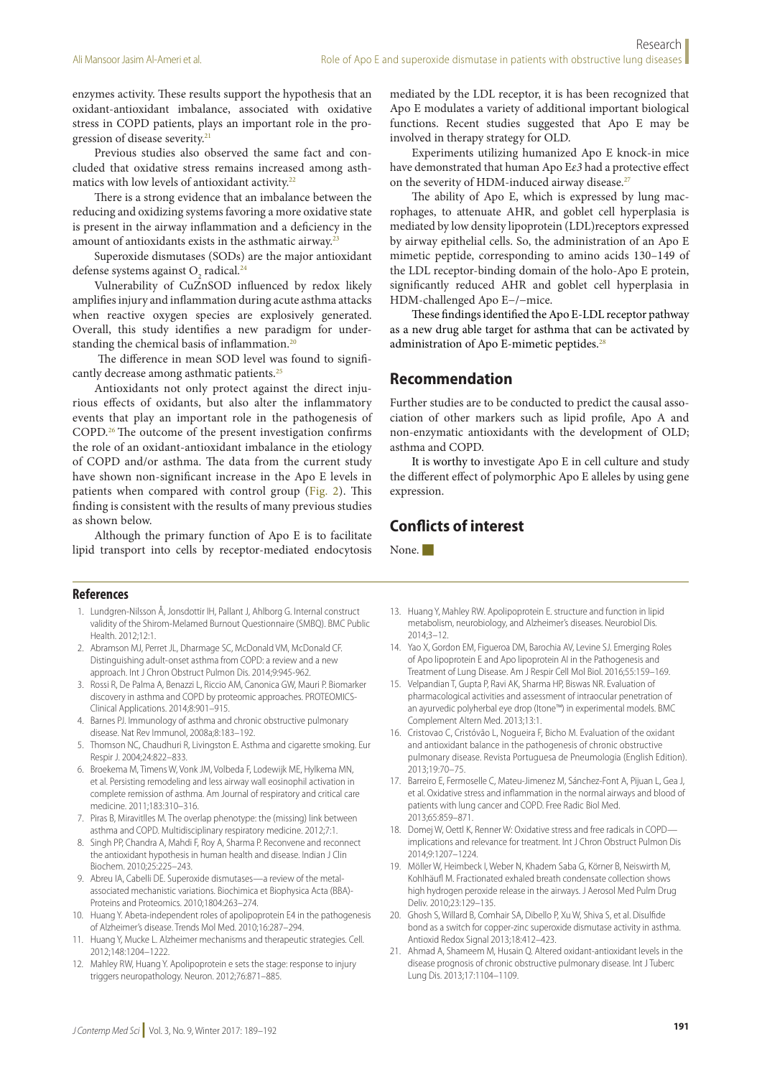enzymes activity. These results support the hypothesis that an oxidant-antioxidant imbalance, associated with oxidative stress in COPD patients, plays an important role in the progression of disease severity.<sup>21</sup>

Previous studies also observed the same fact and concluded that oxidative stress remains increased among asthmatics with low levels of antioxidant activity.<sup>22</sup>

There is a strong evidence that an imbalance between the reducing and oxidizing systems favoring a more oxidative state is present in the airway inflammation and a deficiency in the amount of antioxidants exists in the asthmatic airway.23

Superoxide dismutases (SODs) are the major antioxidant defense systems against  $\mathrm{O}_2$  radical.<sup>24</sup>

Vulnerability of CuZnSOD influenced by redox likely amplifies injury and inflammation during acute asthma attacks when reactive oxygen species are explosively generated. Overall, this study identifies a new paradigm for understanding the chemical basis of inflammation.<sup>20</sup>

 The difference in mean SOD level was found to significantly decrease among asthmatic patients.<sup>25</sup>

Antioxidants not only protect against the direct injurious effects of oxidants, but also alter the inflammatory events that play an important role in the pathogenesis of COPD.26 The outcome of the present investigation confirms the role of an oxidant-antioxidant imbalance in the etiology of COPD and/or asthma. The data from the current study have shown non-significant increase in the Apo E levels in patients when compared with control group (Fig. 2). This finding is consistent with the results of many previous studies as shown below.

Although the primary function of Apo E is to facilitate lipid transport into cells by receptor-mediated endocytosis

mediated by the LDL receptor, it is has been recognized that Apo E modulates a variety of additional important biological functions. Recent studies suggested that Apo E may be involved in therapy strategy for OLD.

Experiments utilizing humanized Apo E knock-in mice have demonstrated that human Apo E*ε3* had a protective effect on the severity of HDM-induced airway disease.<sup>27</sup>

The ability of Apo E, which is expressed by lung macrophages, to attenuate AHR, and goblet cell hyperplasia is mediated by low density lipoprotein (LDL)receptors expressed by airway epithelial cells. So, the administration of an Apo E mimetic peptide, corresponding to amino acids 130–149 of the LDL receptor-binding domain of the holo-Apo E protein, significantly reduced AHR and goblet cell hyperplasia in HDM-challenged Apo E−/−mice.

These findings identified the Apo E-LDL receptor pathway as a new drug able target for asthma that can be activated by administration of Apo E-mimetic peptides.<sup>28</sup>

#### **Recommendation**

Further studies are to be conducted to predict the causal association of other markers such as lipid profile, Apo A and non-enzymatic antioxidants with the development of OLD; asthma and COPD.

It is worthy to investigate Apo E in cell culture and study the different effect of polymorphic Apo E alleles by using gene expression.

## **Conflicts of interest**

None.

#### **References**

- 1. Lundgren-Nilsson Å, Jonsdottir IH, Pallant J, Ahlborg G. Internal construct validity of the Shirom-Melamed Burnout Questionnaire (SMBQ). BMC Public Health. 2012:12:1.
- 2. Abramson MJ, Perret JL, Dharmage SC, McDonald VM, McDonald CF. Distinguishing adult-onset asthma from COPD: a review and a new approach. Int J Chron Obstruct Pulmon Dis. 2014;9:945-962.
- 3. Rossi R, De Palma A, Benazzi L, Riccio AM, Canonica GW, Mauri P. Biomarker discovery in asthma and COPD by proteomic approaches. PROTEOMICS-Clinical Applications. 2014;8:901–915.
- 4. Barnes PJ. Immunology of asthma and chronic obstructive pulmonary disease. Nat Rev Immunol, 2008a;8:183–192.
- 5. Thomson NC, Chaudhuri R, Livingston E. Asthma and cigarette smoking. Eur Respir J. 2004;24:822–833.
- 6. Broekema M, Timens W, Vonk JM, Volbeda F, Lodewijk ME, Hylkema MN, et al. Persisting remodeling and less airway wall eosinophil activation in complete remission of asthma. Am Journal of respiratory and critical care medicine. 2011;183:310–316.
- 7. Piras B, Miravitlles M. The overlap phenotype: the (missing) link between asthma and COPD. Multidisciplinary respiratory medicine. 2012;7:1.
- 8. Singh PP, Chandra A, Mahdi F, Roy A, Sharma P. Reconvene and reconnect the antioxidant hypothesis in human health and disease. Indian J Clin Biochem. 2010;25:225–243.
- 9. Abreu IA, Cabelli DE. Superoxide dismutases—a review of the metalassociated mechanistic variations. Biochimica et Biophysica Acta (BBA)- Proteins and Proteomics. 2010;1804:263–274.
- 10. Huang Y. Abeta-independent roles of apolipoprotein E4 in the pathogenesis of Alzheimer's disease. Trends Mol Med. 2010;16:287–294.
- 11. Huang Y, Mucke L. Alzheimer mechanisms and therapeutic strategies. Cell. 2012;148:1204–1222.
- 12. Mahley RW, Huang Y. Apolipoprotein e sets the stage: response to injury triggers neuropathology. Neuron. 2012;76:871–885.
- 13. Huang Y, Mahley RW. Apolipoprotein E. structure and function in lipid metabolism, neurobiology, and Alzheimer's diseases. Neurobiol Dis. 2014;3–12.
- 14. Yao X, Gordon EM, Figueroa DM, Barochia AV, Levine SJ. Emerging Roles of Apo lipoprotein E and Apo lipoprotein AI in the Pathogenesis and Treatment of Lung Disease. Am J Respir Cell Mol Biol. 2016;55:159–169.
- 15. Velpandian T, Gupta P, Ravi AK, Sharma HP, Biswas NR. Evaluation of pharmacological activities and assessment of intraocular penetration of an ayurvedic polyherbal eye drop (Itone™) in experimental models. BMC Complement Altern Med. 2013;13:1.
- 16. Cristovao C, Cristóvão L, Nogueira F, Bicho M. Evaluation of the oxidant and antioxidant balance in the pathogenesis of chronic obstructive pulmonary disease. Revista Portuguesa de Pneumologia (English Edition). 2013;19:70–75.
- 17. Barreiro E, Fermoselle C, Mateu-Jimenez M, Sánchez-Font A, Pijuan L, Gea J, et al. Oxidative stress and inflammation in the normal airways and blood of patients with lung cancer and COPD. Free Radic Biol Med. 2013;65:859–871.
- 18. Domej W, Oettl K, Renner W: Oxidative stress and free radicals in COPD implications and relevance for treatment. Int J Chron Obstruct Pulmon Dis 2014;9:1207–1224.
- 19. Möller W, Heimbeck I, Weber N, Khadem Saba G, Körner B, Neiswirth M, Kohlhäufl M. Fractionated exhaled breath condensate collection shows high hydrogen peroxide release in the airways. J Aerosol Med Pulm Drug Deliv. 2010;23:129–135.
- 20. Ghosh S, Willard B, Comhair SA, Dibello P, Xu W, Shiva S, et al. Disulfide bond as a switch for copper-zinc superoxide dismutase activity in asthma. Antioxid Redox Signal 2013;18:412–423.
- 21. Ahmad A, Shameem M, Husain Q. Altered oxidant-antioxidant levels in the disease prognosis of chronic obstructive pulmonary disease. Int J Tuberc Lung Dis. 2013;17:1104–1109.